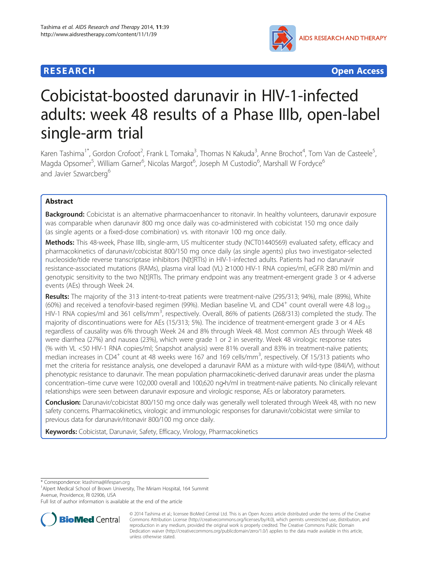## **RESEARCH CHEAR CHEAR CHEAR CHEAR CHEAR CHEAR CHEAR CHEAR CHEAR CHEAR CHEAR CHEAR CHEAR CHEAR CHEAR CHEAR CHEAR**



# Cobicistat-boosted darunavir in HIV-1-infected adults: week 48 results of a Phase IIIb, open-label single-arm trial

Karen Tashima<sup>1\*</sup>, Gordon Crofoot<sup>2</sup>, Frank L Tomaka<sup>3</sup>, Thomas N Kakuda<sup>3</sup>, Anne Brochot<sup>4</sup>, Tom Van de Casteele<sup>5</sup> י<br>, Magda Opsomer<sup>5</sup>, William Garner<sup>6</sup>, Nicolas Margot<sup>6</sup>, Joseph M Custodio<sup>6</sup>, Marshall W Fordyce<sup>6</sup> and Javier Szwarcberg<sup>6</sup>

## Abstract

Background: Cobicistat is an alternative pharmacoenhancer to ritonavir. In healthy volunteers, darunavir exposure was comparable when darunavir 800 mg once daily was co-administered with cobicistat 150 mg once daily (as single agents or a fixed-dose combination) vs. with ritonavir 100 mg once daily.

Methods: This 48-week, Phase IIIb, single-arm, US multicenter study (NCT01440569) evaluated safety, efficacy and pharmacokinetics of darunavir/cobicistat 800/150 mg once daily (as single agents) plus two investigator-selected nucleoside/tide reverse transcriptase inhibitors (N[t]RTIs) in HIV-1-infected adults. Patients had no darunavir resistance-associated mutations (RAMs), plasma viral load (VL) ≥1000 HIV-1 RNA copies/ml, eGFR ≥80 ml/min and genotypic sensitivity to the two N[t]RTIs. The primary endpoint was any treatment-emergent grade 3 or 4 adverse events (AEs) through Week 24.

Results: The majority of the 313 intent-to-treat patients were treatment-naïve (295/313; 94%), male (89%), White (60%) and received a tenofovir-based regimen (99%). Median baseline VL and CD4<sup>+</sup> count overall were 4.8  $log_{10}$ HIV-1 RNA copies/ml and 361 cells/mm<sup>3</sup>, respectively. Overall, 86% of patients (268/313) completed the study. The majority of discontinuations were for AEs (15/313; 5%). The incidence of treatment-emergent grade 3 or 4 AEs regardless of causality was 6% through Week 24 and 8% through Week 48. Most common AEs through Week 48 were diarrhea (27%) and nausea (23%), which were grade 1 or 2 in severity. Week 48 virologic response rates (% with VL <50 HIV-1 RNA copies/ml; Snapshot analysis) were 81% overall and 83% in treatment-naïve patients; median increases in CD4<sup>+</sup> count at 48 weeks were 167 and 169 cells/mm<sup>3</sup>, respectively. Of 15/313 patients who met the criteria for resistance analysis, one developed a darunavir RAM as a mixture with wild-type (I84I/V), without phenotypic resistance to darunavir. The mean population pharmacokinetic-derived darunavir areas under the plasma concentration–time curve were 102,000 overall and 100,620 ng•h/ml in treatment-naïve patients. No clinically relevant relationships were seen between darunavir exposure and virologic response, AEs or laboratory parameters.

**Conclusion:** Darunavir/cobicistat 800/150 mg once daily was generally well tolerated through Week 48, with no new safety concerns. Pharmacokinetics, virologic and immunologic responses for darunavir/cobicistat were similar to previous data for darunavir/ritonavir 800/100 mg once daily.

Keywords: Cobicistat, Darunavir, Safety, Efficacy, Virology, Pharmacokinetics

\* Correspondence: [ktashima@lifespan.org](mailto:ktashima@lifespan.org) <sup>1</sup>

<sup>1</sup> Alpert Medical School of Brown University, The Miriam Hospital, 164 Summit Avenue, Providence, RI 02906, USA

Full list of author information is available at the end of the article



<sup>© 2014</sup> Tashima et al.; licensee BioMed Central Ltd. This is an Open Access article distributed under the terms of the Creative Commons Attribution License [\(http://creativecommons.org/licenses/by/4.0\)](http://creativecommons.org/licenses/by/4.0), which permits unrestricted use, distribution, and reproduction in any medium, provided the original work is properly credited. The Creative Commons Public Domain Dedication waiver [\(http://creativecommons.org/publicdomain/zero/1.0/](http://creativecommons.org/publicdomain/zero/1.0/)) applies to the data made available in this article, unless otherwise stated.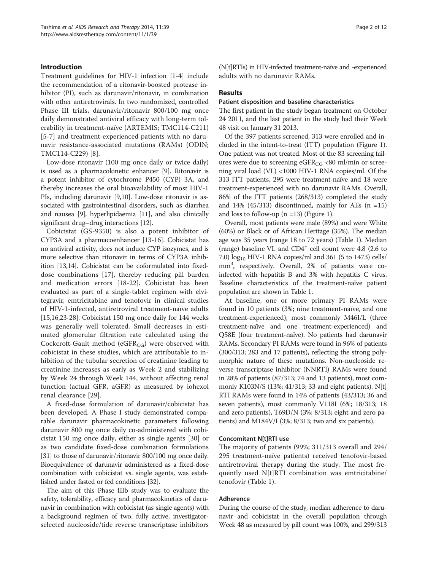## Introduction

Treatment guidelines for HIV-1 infection [[1-4](#page-10-0)] include the recommendation of a ritonavir-boosted protease inhibitor (PI), such as darunavir/ritonavir, in combination with other antiretrovirals. In two randomized, controlled Phase III trials, darunavir/ritonavir 800/100 mg once daily demonstrated antiviral efficacy with long-term tolerability in treatment-naïve (ARTEMIS; TMC114-C211) [[5-7\]](#page-10-0) and treatment-experienced patients with no darunavir resistance-associated mutations (RAMs) (ODIN; TMC114-C229) [[8\]](#page-10-0).

Low-dose ritonavir (100 mg once daily or twice daily) is used as a pharmacokinetic enhancer [\[9](#page-10-0)]. Ritonavir is a potent inhibitor of cytochrome P450 (CYP) 3A, and thereby increases the oral bioavailability of most HIV-1 PIs, including darunavir [\[9,10](#page-10-0)]. Low-dose ritonavir is associated with gastrointestinal disorders, such as diarrhea and nausea [[9\]](#page-10-0), hyperlipidaemia [[11](#page-10-0)], and also clinically significant drug–drug interactions [\[12](#page-10-0)].

Cobicistat (GS-9350) is also a potent inhibitor of CYP3A and a pharmacoenhancer [\[13-16](#page-10-0)]. Cobicistat has no antiviral activity, does not induce CYP isozymes, and is more selective than ritonavir in terms of CYP3A inhibition [\[13,14\]](#page-10-0). Cobicistat can be coformulated into fixeddose combinations [[17](#page-10-0)], thereby reducing pill burden and medication errors [\[18](#page-10-0)-[22\]](#page-10-0). Cobicistat has been evaluated as part of a single-tablet regimen with elvitegravir, emtricitabine and tenofovir in clinical studies of HIV-1-infected, antiretroviral treatment-naïve adults [[15,16,23](#page-10-0)[-28\]](#page-11-0). Cobicistat 150 mg once daily for 144 weeks was generally well tolerated. Small decreases in estimated glomerular filtration rate calculated using the Cockcroft-Gault method (eGFR<sub>CG</sub>) were observed with cobicistat in these studies, which are attributable to inhibition of the tubular secretion of creatinine leading to creatinine increases as early as Week 2 and stabilizing by Week 24 through Week 144, without affecting renal function (actual GFR, aGFR) as measured by iohexol renal clearance [[29\]](#page-11-0).

A fixed-dose formulation of darunavir/cobicistat has been developed. A Phase I study demonstrated comparable darunavir pharmacokinetic parameters following darunavir 800 mg once daily co-administered with cobicistat 150 mg once daily, either as single agents [[30\]](#page-11-0) or as two candidate fixed-dose combination formulations [[31](#page-11-0)] to those of darunavir/ritonavir 800/100 mg once daily. Bioequivalence of darunavir administered as a fixed-dose combination with cobicistat vs. single agents, was established under fasted or fed conditions [\[32\]](#page-11-0).

The aim of this Phase IIIb study was to evaluate the safety, tolerability, efficacy and pharmacokinetics of darunavir in combination with cobicistat (as single agents) with a background regimen of two, fully active, investigatorselected nucleoside/tide reverse transcriptase inhibitors (N[t]RTIs) in HIV-infected treatment-naïve and -experienced adults with no darunavir RAMs.

## Results

#### Patient disposition and baseline characteristics

The first patient in the study began treatment on October 24 2011, and the last patient in the study had their Week 48 visit on January 31 2013.

Of the 397 patients screened, 313 were enrolled and included in the intent-to-treat (ITT) population (Figure [1](#page-2-0)). One patient was not treated. Most of the 83 screening failures were due to screening  $eGFR_{CG}$  <80 ml/min or screening viral load (VL) <1000 HIV-1 RNA copies/ml. Of the 313 ITT patients, 295 were treatment-naïve and 18 were treatment-experienced with no darunavir RAMs. Overall, 86% of the ITT patients (268/313) completed the study and  $14\%$  (45/313) discontinued, mainly for AEs (n =15) and loss to follow-up  $(n = 13)$  $(n = 13)$  $(n = 13)$  (Figure 1).

Overall, most patients were male (89%) and were White (60%) or Black or of African Heritage (35%). The median age was 35 years (range 18 to 72 years) (Table [1\)](#page-3-0). Median (range) baseline VL and  $CD4^+$  cell count were 4.8 (2.6 to 7.0)  $log_{10}$  HIV-1 RNA copies/ml and 361 (5 to 1473) cells/ mm3 , respectively. Overall, 2% of patients were coinfected with hepatitis B and 3% with hepatitis C virus. Baseline characteristics of the treatment-naïve patient population are shown in Table [1.](#page-3-0)

At baseline, one or more primary PI RAMs were found in 10 patients (3%; nine treatment-naïve, and one treatment-experienced), most commonly M46I/L (three treatment-naïve and one treatment-experienced) and Q58E (four treatment-naïve). No patients had darunavir RAMs. Secondary PI RAMs were found in 96% of patients (300/313; 283 and 17 patients), reflecting the strong polymorphic nature of these mutations. Non-nucleoside reverse transcriptase inhibitor (NNRTI) RAMs were found in 28% of patients (87/313; 74 and 13 patients), most commonly K103N/S (13%; 41/313; 33 and eight patients). N[t] RTI RAMs were found in 14% of patients (43/313; 36 and seven patients), most commonly V118I (6%; 18/313; 18 and zero patients), T69D/N (3%; 8/313; eight and zero patients) and M184V/I (3%; 8/313; two and six patients).

### Concomitant N[t]RTI use

The majority of patients (99%; 311/313 overall and 294/ 295 treatment-naïve patients) received tenofovir-based antiretroviral therapy during the study. The most frequently used N[t]RTI combination was emtricitabine/ tenofovir (Table [1\)](#page-3-0).

### Adherence

During the course of the study, median adherence to darunavir and cobicistat in the overall population through Week 48 as measured by pill count was 100%, and 299/313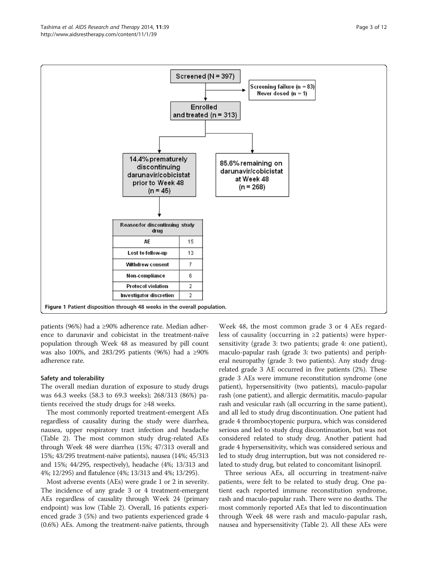<span id="page-2-0"></span>

patients (96%) had a ≥90% adherence rate. Median adherence to darunavir and cobicistat in the treatment-naïve population through Week 48 as measured by pill count was also 100%, and 283/295 patients (96%) had a ≥90% adherence rate.

### Safety and tolerability

The overall median duration of exposure to study drugs was 64.3 weeks (58.3 to 69.3 weeks); 268/313 (86%) patients received the study drugs for ≥48 weeks.

The most commonly reported treatment-emergent AEs regardless of causality during the study were diarrhea, nausea, upper respiratory tract infection and headache (Table [2](#page-4-0)). The most common study drug-related AEs through Week 48 were diarrhea (15%; 47/313 overall and 15%; 43/295 treatment-naïve patients), nausea (14%; 45/313 and 15%; 44/295, respectively), headache (4%; 13/313 and 4%; 12/295) and flatulence (4%; 13/313 and 4%; 13/295).

Most adverse events (AEs) were grade 1 or 2 in severity. The incidence of any grade 3 or 4 treatment-emergent AEs regardless of causality through Week 24 (primary endpoint) was low (Table [2\)](#page-4-0). Overall, 16 patients experienced grade 3 (5%) and two patients experienced grade 4 (0.6%) AEs. Among the treatment-naïve patients, through

Week 48, the most common grade 3 or 4 AEs regardless of causality (occurring in ≥2 patients) were hypersensitivity (grade 3: two patients; grade 4: one patient), maculo-papular rash (grade 3: two patients) and peripheral neuropathy (grade 3: two patients). Any study drugrelated grade 3 AE occurred in five patients (2%). These grade 3 AEs were immune reconstitution syndrome (one patient), hypersensitivity (two patients), maculo-papular rash (one patient), and allergic dermatitis, maculo-papular rash and vesicular rash (all occurring in the same patient), and all led to study drug discontinuation. One patient had grade 4 thrombocytopenic purpura, which was considered serious and led to study drug discontinuation, but was not considered related to study drug. Another patient had grade 4 hypersensitivity, which was considered serious and led to study drug interruption, but was not considered related to study drug, but related to concomitant lisinopril.

Three serious AEs, all occurring in treatment-naïve patients, were felt to be related to study drug. One patient each reported immune reconstitution syndrome, rash and maculo-papular rash. There were no deaths. The most commonly reported AEs that led to discontinuation through Week 48 were rash and maculo-papular rash, nausea and hypersensitivity (Table [2](#page-4-0)). All these AEs were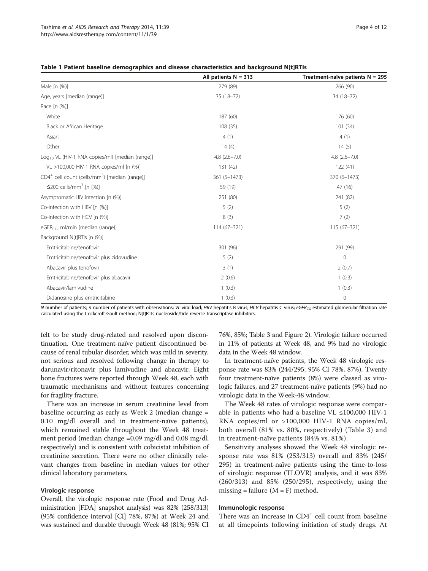|                                                                       | All patients $N = 313$ | Treatment-naïve patients $N = 295$ |
|-----------------------------------------------------------------------|------------------------|------------------------------------|
| Male [n (%)]                                                          | 279 (89)               | 266 (90)                           |
| Age, years [median (range)]                                           | 35 (18-72)             | 34 (18-72)                         |
| Race [n (%)]                                                          |                        |                                    |
| White                                                                 | 187 (60)               | 176 (60)                           |
| Black or African Heritage                                             | 108(35)                | 101(34)                            |
| Asian                                                                 | 4(1)                   | 4(1)                               |
| Other                                                                 | 14(4)                  | 14(5)                              |
| Log <sub>10</sub> VL (HIV-1 RNA copies/ml) [median (range)]           | $4.8$ $(2.6 - 7.0)$    | $4.8$ $(2.6 - 7.0)$                |
| VL >100,000 HIV-1 RNA copies/ml [n (%)]                               | 131 (42)               | 122(41)                            |
| CD4 <sup>+</sup> cell count (cells/mm <sup>3</sup> ) [median (range)] | $361(5 - 1473)$        | 370 (6-1473)                       |
| ≤200 cells/mm <sup>3</sup> [n $(\%)$ ]                                | 59 (19)                | 47 (16)                            |
| Asymptomatic HIV infection [n (%)]                                    | 251 (80)               | 241 (82)                           |
| Co-infection with HBV [n (%)]                                         | 5(2)                   | 5(2)                               |
| Co-infection with HCV [n (%)]                                         | 8(3)                   | 7(2)                               |
| eGFR <sub>CG</sub> , ml/min [median (range)]                          | $114(67-321)$          | $115(67 - 321)$                    |
| Background N[t]RTIs [n (%)]                                           |                        |                                    |
| Emtricitabine/tenofovir                                               | 301 (96)               | 291 (99)                           |
| Emtricitabine/tenofovir plus zidovudine                               | 5(2)                   | $\mathbf 0$                        |
| Abacavir plus tenofovir                                               | 3(1)                   | 2(0.7)                             |
| Emtricitabine/tenofovir plus abacavir                                 | 2(0.6)                 | 1(0.3)                             |
| Abacavir/lamivudine                                                   | 1(0.3)                 | 1(0.3)                             |
| Didanosine plus emtricitabine                                         | 1(0.3)                 | $\mathbf 0$                        |

<span id="page-3-0"></span>

N number of patients; n number of patients with observations; VL viral load; HBV hepatitis B virus; HCV hepatitis C virus; eGFR<sub>CG</sub> estimated glomerular filtration rate calculated using the Cockcroft-Gault method; N[t]RTIs nucleoside/tide reverse transcriptase inhibitors.

felt to be study drug-related and resolved upon discontinuation. One treatment-naïve patient discontinued because of renal tubular disorder, which was mild in severity, not serious and resolved following change in therapy to darunavir/ritonavir plus lamivudine and abacavir. Eight bone fractures were reported through Week 48, each with traumatic mechanisms and without features concerning for fragility fracture.

There was an increase in serum creatinine level from baseline occurring as early as Week 2 (median change = 0.10 mg/dl overall and in treatment-naïve patients), which remained stable throughout the Week 48 treatment period (median change =0.09 mg/dl and 0.08 mg/dl, respectively) and is consistent with cobicistat inhibition of creatinine secretion. There were no other clinically relevant changes from baseline in median values for other clinical laboratory parameters.

#### Virologic response

Overall, the virologic response rate (Food and Drug Administration [FDA] snapshot analysis) was 82% (258/313) (95% confidence interval [CI] 78%, 87%) at Week 24 and was sustained and durable through Week 48 (81%; 95% CI

76%, 85%; Table [3](#page-5-0) and Figure [2\)](#page-6-0). Virologic failure occurred in 11% of patients at Week 48, and 9% had no virologic data in the Week 48 window.

In treatment-naïve patients, the Week 48 virologic response rate was 83% (244/295; 95% CI 78%, 87%). Twenty four treatment-naïve patients (8%) were classed as virologic failures, and 27 treatment-naïve patients (9%) had no virologic data in the Week-48 window.

The Week 48 rates of virologic response were comparable in patients who had a baseline VL ≤100,000 HIV-1 RNA copies/ml or >100,000 HIV-1 RNA copies/ml, both overall (81% vs. 80%, respectively) (Table [3](#page-5-0)) and in treatment-naïve patients (84% vs. 81%).

Sensitivity analyses showed the Week 48 virologic response rate was 81% (253/313) overall and 83% (245/ 295) in treatment-naïve patients using the time-to-loss of virologic response (TLOVR) analysis, and it was 83% (260/313) and 85% (250/295), respectively, using the missing = failure  $(M = F)$  method.

#### Immunologic response

There was an increase in  $CD4^+$  cell count from baseline at all timepoints following initiation of study drugs. At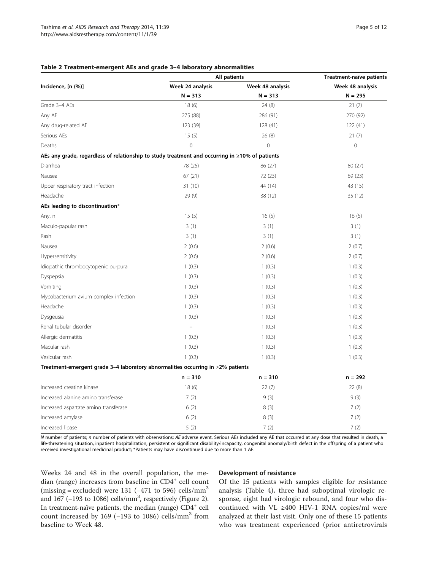## <span id="page-4-0"></span>Table 2 Treatment-emergent AEs and grade 3–4 laboratory abnormalities

|                                                                                                      | All patients     | Treatment-naïve patients |                               |  |
|------------------------------------------------------------------------------------------------------|------------------|--------------------------|-------------------------------|--|
| Incidence, [n (%)]                                                                                   | Week 24 analysis | Week 48 analysis         | Week 48 analysis<br>$N = 295$ |  |
|                                                                                                      | $N = 313$        | $N = 313$                |                               |  |
| Grade 3-4 AEs                                                                                        | 18(6)            | 24(8)                    | 21(7)                         |  |
| Any AE                                                                                               | 275 (88)         | 286 (91)                 | 270 (92)                      |  |
| Any drug-related AE                                                                                  | 123 (39)         | 128 (41)                 | 122 (41)                      |  |
| Serious AEs                                                                                          | 15(5)            | 26(8)                    | 21(7)                         |  |
| Deaths                                                                                               | $\overline{0}$   | $\overline{0}$           | $\mathbf 0$                   |  |
| AEs any grade, regardless of relationship to study treatment and occurring in $\geq$ 10% of patients |                  |                          |                               |  |
| Diarrhea                                                                                             | 78 (25)          | 86 (27)                  | 80 (27)                       |  |
| Nausea                                                                                               | 67(21)           | 72 (23)                  | 69 (23)                       |  |
| Upper respiratory tract infection                                                                    | 31(10)           | 44 (14)                  | 43 (15)                       |  |
| Headache                                                                                             | 29(9)            | 38 (12)                  | 35(12)                        |  |
| AEs leading to discontinuation*                                                                      |                  |                          |                               |  |
| Any, n                                                                                               | 15(5)            | 16(5)                    | 16(5)                         |  |
| Maculo-papular rash                                                                                  | 3(1)             | 3(1)                     | 3(1)                          |  |
| Rash                                                                                                 | 3(1)             | 3(1)                     | 3(1)                          |  |
| Nausea                                                                                               | 2(0.6)           | 2(0.6)                   | 2(0.7)                        |  |
| Hypersensitivity                                                                                     | 2(0.6)           | 2(0.6)                   | 2(0.7)                        |  |
| Idiopathic thrombocytopenic purpura                                                                  | 1(0.3)           | 1(0.3)                   | 1(0.3)                        |  |
| Dyspepsia                                                                                            | 1(0.3)           | 1(0.3)                   | 1(0.3)                        |  |
| Vomiting                                                                                             | 1(0.3)           | 1(0.3)                   | 1(0.3)                        |  |
| Mycobacterium avium complex infection                                                                | 1(0.3)           | 1(0.3)                   | 1(0.3)                        |  |
| Headache                                                                                             | 1(0.3)           | 1(0.3)                   | 1(0.3)                        |  |
| Dysgeusia                                                                                            | 1(0.3)           | 1(0.3)                   | 1(0.3)                        |  |
| Renal tubular disorder                                                                               |                  | 1(0.3)                   | 1(0.3)                        |  |
| Allergic dermatitis                                                                                  | 1(0.3)           | 1(0.3)                   | 1(0.3)                        |  |
| Macular rash                                                                                         | 1(0.3)           | 1(0.3)                   | 1(0.3)                        |  |
| Vesicular rash                                                                                       | 1(0.3)           | 1(0.3)                   | 1(0.3)                        |  |
| Treatment-emergent grade 3-4 laboratory abnormalities occurring in $\geq$ 2% patients                |                  |                          |                               |  |
|                                                                                                      | $n = 310$        | $n = 310$                | $n = 292$                     |  |
| Increased creatine kinase                                                                            | 18(6)            | 22(7)                    | 22(8)                         |  |
| Increased alanine amino transferase                                                                  | 7(2)             | 9(3)                     | 9(3)                          |  |
| Increased aspartate amino transferase                                                                | 6(2)             | 8(3)                     | 7(2)                          |  |
| Increased amylase                                                                                    | 6(2)             | 8(3)                     | 7(2)                          |  |
| Increased lipase                                                                                     | 5(2)             | 7(2)                     | 7(2)                          |  |

N number of patients; n number of patients with observations; AE adverse event. Serious AEs included any AE that occurred at any dose that resulted in death, a life-threatening situation, inpatient hospitalization, persistent or significant disability/incapacity, congenital anomaly/birth defect in the offspring of a patient who received investigational medicinal product; \*Patients may have discontinued due to more than 1 AE.

Weeks 24 and 48 in the overall population, the median (range) increases from baseline in CD4<sup>+</sup> cell count (missing = excluded) were 131 ( $-471$  to 596) cells/mm<sup>3</sup> and  $167$  (-193 to 1086) cells/mm<sup>3</sup>, respectively (Figure [2](#page-6-0)). In treatment-naïve patients, the median (range)  $CD4^+$  cell count increased by 169 ( $-193$  to 1086) cells/mm<sup>3</sup> from baseline to Week 48.

## Development of resistance

Of the 15 patients with samples eligible for resistance analysis (Table [4\)](#page-7-0), three had suboptimal virologic response, eight had virologic rebound, and four who discontinued with VL  $\geq$ 400 HIV-1 RNA copies/ml were analyzed at their last visit. Only one of these 15 patients who was treatment experienced (prior antiretrovirals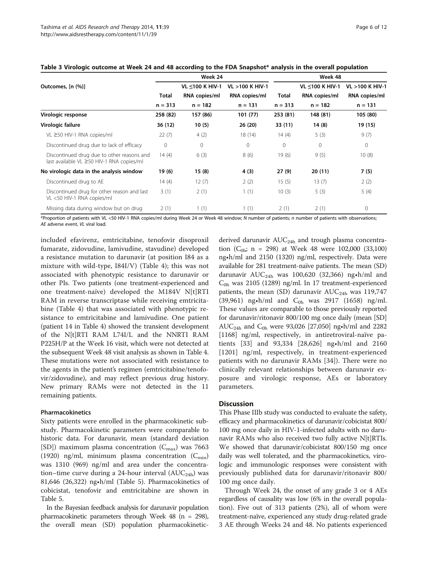|                                                                                         |           | Week 24         |                 | Week 48     |                           |                           |
|-----------------------------------------------------------------------------------------|-----------|-----------------|-----------------|-------------|---------------------------|---------------------------|
| Outcomes, [n (%)]                                                                       |           | VL <100 K HIV-1 | VL >100 K HIV-1 |             | <b>VL &lt;100 K HIV-1</b> | <b>VL &gt;100 K HIV-1</b> |
|                                                                                         | Total     | RNA copies/ml   | RNA copies/ml   | Total       | RNA copies/ml             | RNA copies/ml             |
|                                                                                         | $n = 313$ | $n = 182$       | $n = 131$       | $n = 313$   | $n = 182$                 | $n = 131$                 |
| Virologic response                                                                      | 258 (82)  | 157 (86)        | 101 (77)        | 253 (81)    | 148 (81)                  | 105 (80)                  |
| Virologic failure                                                                       | 36 (12)   | 10(5)           | 26 (20)         | 33 (11)     | 14 (8)                    | 19 (15)                   |
| VL ≥50 HIV-1 RNA copies/ml                                                              | 22(7)     | 4(2)            | 18(14)          | 14(4)       | 5(3)                      | 9(7)                      |
| Discontinued drug due to lack of efficacy                                               | 0         | $\mathbf{0}$    | $\mathbf{0}$    | $\mathbf 0$ | $\mathbf{0}$              | $\mathbf 0$               |
| Discontinued drug due to other reasons and<br>last available VL ≥50 HIV-1 RNA copies/ml | 14(4)     | 6(3)            | 8(6)            | 19 (6)      | 9(5)                      | 10(8)                     |
| No virologic data in the analysis window                                                | 19(6)     | 15(8)           | 4 (3)           | 27(9)       | 20(11)                    | 7(5)                      |
| Discontinued drug to AE                                                                 | 14(4)     | 12(7)           | 2(2)            | 15(5)       | 13(7)                     | 2(2)                      |
| Discontinued drug for other reason and last<br>VL <50 HIV-1 RNA copies/ml               | 3(1)      | 2(1)            | 1(1)            | 10(3)       | 5(3)                      | 5(4)                      |
| Missing data during window but on drug                                                  | 2(1)      | 1(1)            | 1(1)            | 2(1)        | 2(1)                      | $\mathbf 0$               |
|                                                                                         |           |                 |                 |             |                           |                           |

## <span id="page-5-0"></span>Table 3 Virologic outcome at Week 24 and 48 according to the FDA Snapshot\* analysis in the overall population

\*Proportion of patients with VL <50 HIV-1 RNA copies/ml during Week 24 or Week 48 window; N number of patients; n number of patients with observations; AE adverse event, VL viral load.

included efavirenz, emtricitabine, tenofovir disoproxil fumarate, zidovudine, lamivudine, stavudine) developed a resistance mutation to darunavir (at position I84 as a mixture with wild-type, I84I/V) (Table [4](#page-7-0)); this was not associated with phenotypic resistance to darunavir or other PIs. Two patients (one treatment-experienced and one treatment-naïve) developed the M184V N[t]RTI RAM in reverse transcriptase while receiving emtricitabine (Table [4](#page-7-0)) that was associated with phenotypic resistance to emtricitabine and lamivudine. One patient (patient 14 in Table [4\)](#page-7-0) showed the transient development of the N[t]RTI RAM L74I/L and the NNRTI RAM P225H/P at the Week 16 visit, which were not detected at the subsequent Week 48 visit analysis as shown in Table [4](#page-7-0). These mutations were not associated with resistance to the agents in the patient's regimen (emtricitabine/tenofovir/zidovudine), and may reflect previous drug history. New primary RAMs were not detected in the 11 remaining patients.

### Pharmacokinetics

Sixty patients were enrolled in the pharmacokinetic substudy. Pharmacokinetic parameters were comparable to historic data. For darunavir, mean (standard deviation [SD]) maximum plasma concentration  $(C_{\text{max}})$  was 7663 (1920) ng/ml, minimum plasma concentration  $(C_{\text{min}})$ was 1310 (969) ng/ml and area under the concentration–time curve during a 24-hour interval  $(AUC<sub>24h</sub>)$  was 81,646 (26,322) ng•h/ml (Table [5\)](#page-7-0). Pharmacokinetics of cobicistat, tenofovir and emtricitabine are shown in Table [5.](#page-7-0)

In the Bayesian feedback analysis for darunavir population pharmacokinetic parameters through Week 48 (n = 298), the overall mean (SD) population pharmacokineticderived darunavir  $AUC_{24h}$  and trough plasma concentration ( $C_{0h}$ ; n = 298) at Week 48 were 102,000 (33,100) ng•h/ml and 2150 (1320) ng/ml, respectively. Data were available for 281 treatment-naïve patients. The mean (SD) darunavir  $AUC_{24h}$  was 100,620 (32,366) ng•h/ml and  $C_{0h}$  was 2105 (1289) ng/ml. In 17 treatment-experienced patients, the mean (SD) darunavir  $AUC_{24h}$  was 119,747 (39,961) ng•h/ml and  $C_{0h}$  was 2917 (1658) ng/ml. These values are comparable to those previously reported for darunavir/ritonavir 800/100 mg once daily (mean [SD] AUC<sub>24h</sub> and C<sub>0h</sub> were 93,026 [27,050] ng•h/ml and 2282 [1168] ng/ml, respectively, in antiretroviral-naïve patients [[33\]](#page-11-0) and 93,334 [28,626] ng•h/ml and 2160 [1201] ng/ml, respectively, in treatment-experienced patients with no darunavir RAMs [\[34](#page-11-0)]). There were no clinically relevant relationships between darunavir exposure and virologic response, AEs or laboratory parameters.

## **Discussion**

This Phase IIIb study was conducted to evaluate the safety, efficacy and pharmacokinetics of darunavir/cobicistat 800/ 100 mg once daily in HIV-1-infected adults with no darunavir RAMs who also received two fully active N[t]RTIs. We showed that darunavir/cobicistat 800/150 mg once daily was well tolerated, and the pharmacokinetics, virologic and immunologic responses were consistent with previously published data for darunavir/ritonavir 800/ 100 mg once daily.

Through Week 24, the onset of any grade 3 or 4 AEs regardless of causality was low (6% in the overall population). Five out of 313 patients (2%), all of whom were treatment-naïve, experienced any study drug-related grade 3 AE through Weeks 24 and 48. No patients experienced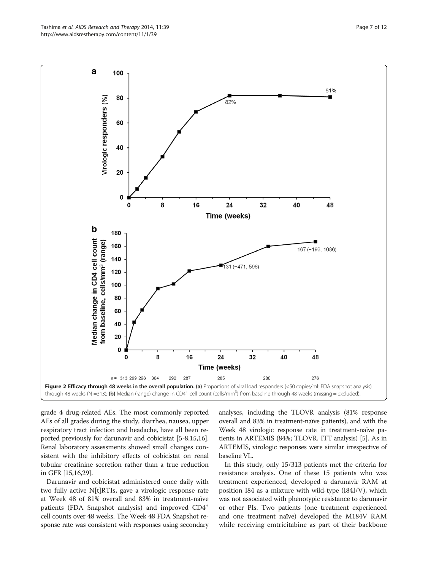grade 4 drug-related AEs. The most commonly reported AEs of all grades during the study, diarrhea, nausea, upper respiratory tract infection and headache, have all been reported previously for darunavir and cobicistat [[5-8,15,16](#page-10-0)]. Renal laboratory assessments showed small changes consistent with the inhibitory effects of cobicistat on renal tubular creatinine secretion rather than a true reduction in GFR [\[15,16](#page-10-0)[,29](#page-11-0)].

Darunavir and cobicistat administered once daily with two fully active N[t]RTIs, gave a virologic response rate at Week 48 of 81% overall and 83% in treatment-naïve patients (FDA Snapshot analysis) and improved CD4<sup>+</sup> cell counts over 48 weeks. The Week 48 FDA Snapshot response rate was consistent with responses using secondary analyses, including the TLOVR analysis (81% response overall and 83% in treatment-naïve patients), and with the Week 48 virologic response rate in treatment-naïve patients in ARTEMIS (84%; TLOVR, ITT analysis) [\[5\]](#page-10-0). As in ARTEMIS, virologic responses were similar irrespective of baseline VL.

In this study, only 15/313 patients met the criteria for resistance analysis. One of these 15 patients who was treatment experienced, developed a darunavir RAM at position I84 as a mixture with wild-type (I84I/V), which was not associated with phenotypic resistance to darunavir or other PIs. Two patients (one treatment experienced and one treatment naïve) developed the M184V RAM while receiving emtricitabine as part of their backbone

<span id="page-6-0"></span>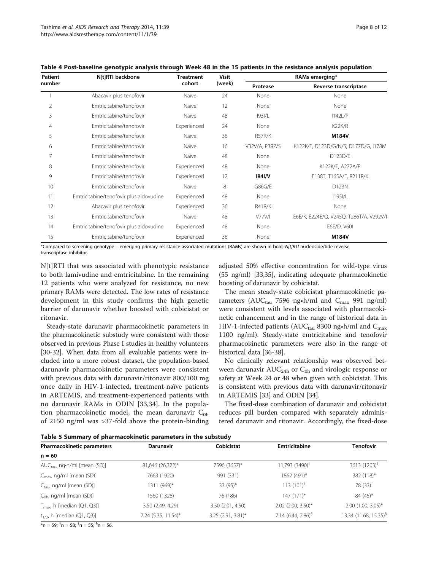| <b>Patient</b><br>number | N[t]RTI backbone                        | <b>Treatment</b><br>cohort | <b>Visit</b> | RAMs emerging* |                                         |  |
|--------------------------|-----------------------------------------|----------------------------|--------------|----------------|-----------------------------------------|--|
|                          |                                         |                            | (week)       | Protease       | Reverse transcriptase                   |  |
|                          | Abacavir plus tenofovir                 | Naïve                      | 24           | None           | None                                    |  |
| 2                        | Emtricitabine/tenofovir                 | Naïve                      | 12           | None           | None                                    |  |
| 3                        | Emtricitabine/tenofovir                 | Naïve                      | 48           | 193I/L         | 1142L/P                                 |  |
| 4                        | Emtricitabine/tenofovir                 | Experienced                | 24           | None           | K <sub>2</sub> 2K/R                     |  |
| 5                        | Emtricitabine/tenofovir                 | Naïve                      | 36           | R57R/K         | M184V                                   |  |
| 6                        | Emtricitabine/tenofovir                 | Naïve                      | 16           | V32V/A, P39P/S | K122K/E, D123D/G/N/S, D177D/G, I178M    |  |
| 7                        | Emtricitabine/tenofovir                 | Naïve                      | 48           | None           | D123D/E                                 |  |
| 8                        | Emtricitabine/tenofovir                 | Experienced                | 48           | None           | K122K/E, A272A/P                        |  |
| 9                        | Emtricitabine/tenofovir                 | Experienced                | 12           | <b>1841/V</b>  | E138T, T165A/E, R211R/K                 |  |
| 10                       | Emtricitabine/tenofovir                 | Naïve                      | 8            | G86G/E         | D123N                                   |  |
| 11                       | Emtricitabine/tenofovir plus zidovudine | Experienced                | 48           | None           | <b>I195I/L</b>                          |  |
| 12                       | Abacavir plus tenofovir                 | Experienced                | 36           | R41R/K         | None                                    |  |
| 13                       | Emtricitabine/tenofovir                 | Naïve                      | 48           | V77V/l         | E6E/K, E224E/Q, V245Q, T286T/A, V292V/I |  |
| 14                       | Emtricitabine/tenofovir plus zidovudine | Experienced                | 48           | None           | E6E/D, V60I                             |  |
| 15                       | Emtricitabine/tenofovir                 | Experienced                | 36           | None           | M184V                                   |  |

<span id="page-7-0"></span>Table 4 Post-baseline genotypic analysis through Week 48 in the 15 patients in the resistance analysis population

\*Compared to screening genotype – emerging primary resistance-associated mutations (RAMs) are shown in bold; N[t]RTI nucleoside/tide reverse transcriptase inhibitor.

N[t]RTI that was associated with phenotypic resistance to both lamivudine and emtricitabine. In the remaining 12 patients who were analyzed for resistance, no new primary RAMs were detected. The low rates of resistance development in this study confirms the high genetic barrier of darunavir whether boosted with cobicistat or ritonavir.

Steady-state darunavir pharmacokinetic parameters in the pharmacokinetic substudy were consistent with those observed in previous Phase I studies in healthy volunteers [[30](#page-11-0)-[32\]](#page-11-0). When data from all evaluable patients were included into a more robust dataset, the population-based darunavir pharmacokinetic parameters were consistent with previous data with darunavir/ritonavir 800/100 mg once daily in HIV-1-infected, treatment-naïve patients in ARTEMIS, and treatment-experienced patients with no darunavir RAMs in ODIN [[33,34\]](#page-11-0). In the population pharmacokinetic model, the mean darunavir  $C_{0h}$ of 2150 ng/ml was >37-fold above the protein-binding

adjusted 50% effective concentration for wild-type virus (55 ng/ml) [[33,35\]](#page-11-0), indicating adequate pharmacokinetic boosting of darunavir by cobicistat.

The mean steady-state cobicistat pharmacokinetic parameters (AUC<sub>tau</sub> 7596 ng•h/ml and C<sub>max</sub> 991 ng/ml) were consistent with levels associated with pharmacokinetic enhancement and in the range of historical data in HIV-1-infected patients (AUC<sub>tau</sub> 8300 ng•h/ml and C<sub>max</sub> 1100 ng/ml). Steady-state emtricitabine and tenofovir pharmacokinetic parameters were also in the range of historical data [[36](#page-11-0)-[38\]](#page-11-0).

No clinically relevant relationship was observed between darunavir  $AUC_{24h}$  or  $C_{0h}$  and virologic response or safety at Week 24 or 48 when given with cobicistat. This is consistent with previous data with darunavir/ritonavir in ARTEMIS [\[33](#page-11-0)] and ODIN [[34\]](#page-11-0).

The fixed-dose combination of darunavir and cobicistat reduces pill burden compared with separately administered darunavir and ritonavir. Accordingly, the fixed-dose

Table 5 Summary of pharmacokinetic parameters in the substudy

| Pharmacokinetic parameters             | <b>Darunavir</b>                | Cobicistat           | <b>Emtricitabine</b>       | <b>Tenofovir</b>                  |
|----------------------------------------|---------------------------------|----------------------|----------------------------|-----------------------------------|
| $n = 60$                               |                                 |                      |                            |                                   |
| $AUC_{tau}$ , ng•h/ml [mean (SD)]      | 81,646 (26,322)*                | 7596 (3657)*         | 11,793 (3490) <sup>T</sup> | 3613 $(1203)^{T}$                 |
| $C_{\text{max}}$ , ng/ml [mean (SD)]   | 7663 (1920)                     | 991 (331)            | 1862 (491)*                | 382 (118)*                        |
| $C_{\text{tau}}$ ng/ml [mean (SD)]     | 1311 (969)*                     | 33 $(95)*$           | $113(101)^{+}$             | 78 $(33)^{+}$                     |
| $C_{0h}$ , ng/ml [mean (SD)]           | 1560 (1328)                     | 76 (186)             | 147 (171)*                 | 84 (45)*                          |
| $T_{\text{max}}$ , h [median (Q1, Q3)] | 3.50 (2.49, 4.29)               | 3.50 (2.01, 4.50)    | 2.02 (2.00, 3.50)*         | 2.00 (1.00, 3.05)*                |
| $t_{1/2}$ , h [median (Q1, Q3)]        | 7.24 $(5.35, 11.54)^{\ddagger}$ | $3.25$ (2.91, 3.81)* | 7.14 $(6.44, 7.86)^9$      | 13.34 (11.68, 15.35) <sup>§</sup> |

 $m$  = 59;  $m$  = 58;  $m$  = 55;  $m$  = 56.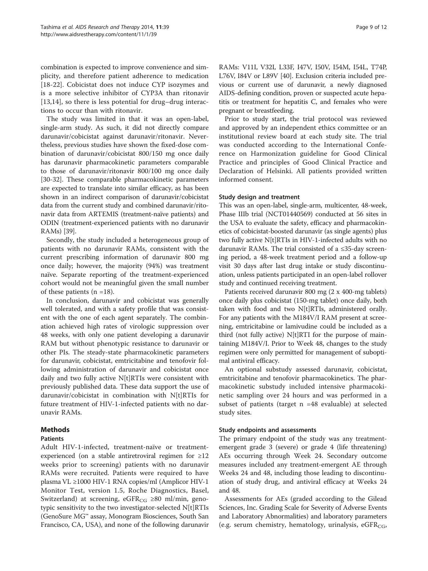combination is expected to improve convenience and simplicity, and therefore patient adherence to medication [[18-22\]](#page-10-0). Cobicistat does not induce CYP isozymes and is a more selective inhibitor of CYP3A than ritonavir [[13,14](#page-10-0)], so there is less potential for drug–drug interactions to occur than with ritonavir.

The study was limited in that it was an open-label, single-arm study. As such, it did not directly compare darunavir/cobicistat against darunavir/ritonavir. Nevertheless, previous studies have shown the fixed-dose combination of darunavir/cobicistat 800/150 mg once daily has darunavir pharmacokinetic parameters comparable to those of darunavir/ritonavir 800/100 mg once daily [[30-32](#page-11-0)]. These comparable pharmacokinetic parameters are expected to translate into similar efficacy, as has been shown in an indirect comparison of darunavir/cobicistat data from the current study and combined darunavir/ritonavir data from ARTEMIS (treatment-naïve patients) and ODIN (treatment-experienced patients with no darunavir RAMs) [[39](#page-11-0)].

Secondly, the study included a heterogeneous group of patients with no darunavir RAMs, consistent with the current prescribing information of darunavir 800 mg once daily; however, the majority (94%) was treatment naïve. Separate reporting of the treatment-experienced cohort would not be meaningful given the small number of these patients  $(n = 18)$ .

In conclusion, darunavir and cobicistat was generally well tolerated, and with a safety profile that was consistent with the one of each agent separately. The combination achieved high rates of virologic suppression over 48 weeks, with only one patient developing a darunavir RAM but without phenotypic resistance to darunavir or other PIs. The steady-state pharmacokinetic parameters for darunavir, cobicistat, emtricitabine and tenofovir following administration of darunavir and cobicistat once daily and two fully active N[t]RTIs were consistent with previously published data. These data support the use of darunavir/cobicistat in combination with N[t]RTIs for future treatment of HIV-1-infected patients with no darunavir RAMs.

## Methods

## Patients

Adult HIV-1-infected, treatment-naïve or treatmentexperienced (on a stable antiretroviral regimen for ≥12 weeks prior to screening) patients with no darunavir RAMs were recruited. Patients were required to have plasma VL ≥1000 HIV-1 RNA copies/ml (Amplicor HIV-1 Monitor Test, version 1.5, Roche Diagnostics, Basel, Switzerland) at screening, eGFR<sub>CG</sub> ≥80 ml/min, genotypic sensitivity to the two investigator-selected N[t]RTIs (GenoSure MG™ assay, Monogram Biosciences, South San Francisco, CA, USA), and none of the following darunavir RAMs: V11I, V32I, L33F, I47V, I50V, I54M, I54L, T74P, L76V, I84V or L89V [\[40\]](#page-11-0). Exclusion criteria included previous or current use of darunavir, a newly diagnosed AIDS-defining condition, proven or suspected acute hepatitis or treatment for hepatitis C, and females who were pregnant or breastfeeding.

Prior to study start, the trial protocol was reviewed and approved by an independent ethics committee or an institutional review board at each study site. The trial was conducted according to the International Conference on Harmonization guideline for Good Clinical Practice and principles of Good Clinical Practice and Declaration of Helsinki. All patients provided written informed consent.

### Study design and treatment

This was an open-label, single-arm, multicenter, 48-week, Phase IIIb trial (NCT01440569) conducted at 56 sites in the USA to evaluate the safety, efficacy and pharmacokinetics of cobicistat-boosted darunavir (as single agents) plus two fully active N[t]RTIs in HIV-1-infected adults with no darunavir RAMs. The trial consisted of a ≤35-day screening period, a 48-week treatment period and a follow-up visit 30 days after last drug intake or study discontinuation, unless patients participated in an open-label rollover study and continued receiving treatment.

Patients received darunavir 800 mg (2 x 400-mg tablets) once daily plus cobicistat (150-mg tablet) once daily, both taken with food and two N[t]RTIs, administered orally. For any patients with the M184V/I RAM present at screening, emtricitabine or lamivudine could be included as a third (not fully active) N[t]RTI for the purpose of maintaining M184V/I. Prior to Week 48, changes to the study regimen were only permitted for management of suboptimal antiviral efficacy.

An optional substudy assessed darunavir, cobicistat, emtricitabine and tenofovir pharmacokinetics. The pharmacokinetic substudy included intensive pharmacokinetic sampling over 24 hours and was performed in a subset of patients (target n =48 evaluable) at selected study sites.

## Study endpoints and assessments

The primary endpoint of the study was any treatmentemergent grade 3 (severe) or grade 4 (life threatening) AEs occurring through Week 24. Secondary outcome measures included any treatment-emergent AE through Weeks 24 and 48, including those leading to discontinuation of study drug, and antiviral efficacy at Weeks 24 and 48.

Assessments for AEs (graded according to the Gilead Sciences, Inc. Grading Scale for Severity of Adverse Events and Laboratory Abnormalities) and laboratory parameters (e.g. serum chemistry, hematology, urinalysis, eGFR $_{CG}$ ,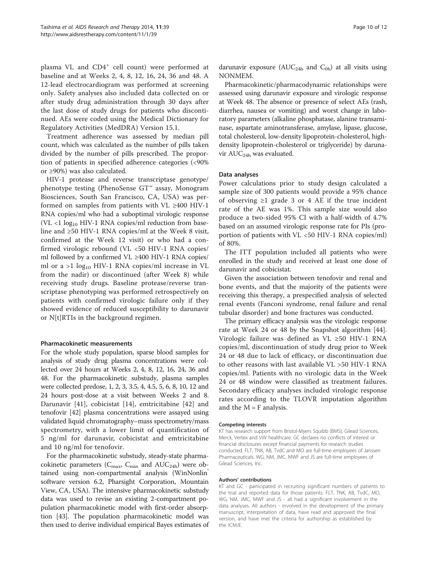plasma VL and CD4<sup>+</sup> cell count) were performed at baseline and at Weeks 2, 4, 8, 12, 16, 24, 36 and 48. A 12-lead electrocardiogram was performed at screening only. Safety analyses also included data collected on or after study drug administration through 30 days after the last dose of study drugs for patients who discontinued. AEs were coded using the Medical Dictionary for Regulatory Activities (MedDRA) Version 15.1.

Treatment adherence was assessed by median pill count, which was calculated as the number of pills taken divided by the number of pills prescribed. The proportion of patients in specified adherence categories (<90% or ≥90%) was also calculated.

HIV-1 protease and reverse transcriptase genotype/ phenotype testing (PhenoSense GT™ assay, Monogram Biosciences, South San Francisco, CA, USA) was performed on samples from patients with VL ≥400 HIV-1 RNA copies/ml who had a suboptimal virologic response (VL <1  $\log_{10}$  HIV-1 RNA copies/ml reduction from baseline and ≥50 HIV-1 RNA copies/ml at the Week 8 visit, confirmed at the Week 12 visit) or who had a confirmed virologic rebound (VL <50 HIV-1 RNA copies/ ml followed by a confirmed VL ≥400 HIV-1 RNA copies/ ml or a  $>1$  log<sub>10</sub> HIV-1 RNA copies/ml increase in VL from the nadir) or discontinued (after Week 8) while receiving study drugs. Baseline protease/reverse transcriptase phenotyping was performed retrospectively on patients with confirmed virologic failure only if they showed evidence of reduced susceptibility to darunavir or N[t]RTIs in the background regimen.

## Pharmacokinetic measurements

For the whole study population, sparse blood samples for analysis of study drug plasma concentrations were collected over 24 hours at Weeks 2, 4, 8, 12, 16, 24, 36 and 48. For the pharmacokinetic substudy, plasma samples were collected predose, 1, 2, 3, 3.5, 4, 4.5, 5, 6, 8, 10, 12 and 24 hours post-dose at a visit between Weeks 2 and 8. Darunavir [\[41](#page-11-0)], cobicistat [\[14](#page-10-0)], emtricitabine [\[42](#page-11-0)] and tenofovir [[42\]](#page-11-0) plasma concentrations were assayed using validated liquid chromatography–mass spectrometry/mass spectrometry, with a lower limit of quantification of 5 ng/ml for darunavir, cobicistat and emtricitabine and 10 ng/ml for tenofovir.

For the pharmacokinetic substudy, steady-state pharmacokinetic parameters ( $C_{\text{max}}$ ,  $C_{\text{min}}$  and  $AUC_{24h}$ ) were obtained using non-compartmental analysis (WinNonlin® software version 6.2, Pharsight Corporation, Mountain View, CA, USA). The intensive pharmacokinetic substudy data was used to revise an existing 2-compartment population pharmacokinetic model with first-order absorption [\[43](#page-11-0)]. The population pharmacokinetic model was then used to derive individual empirical Bayes estimates of

darunavir exposure ( $AUC_{24h}$  and  $C_{0h}$ ) at all visits using NONMEM.

Pharmacokinetic/pharmacodynamic relationships were assessed using darunavir exposure and virologic response at Week 48. The absence or presence of select AEs (rash, diarrhea, nausea or vomiting) and worst change in laboratory parameters (alkaline phosphatase, alanine transaminase, aspartate aminotransferase, amylase, lipase, glucose, total cholesterol, low-density lipoprotein-cholesterol, highdensity lipoprotein-cholesterol or triglyceride) by darunavir  $AUC_{24h}$  was evaluated.

#### Data analyses

Power calculations prior to study design calculated a sample size of 300 patients would provide a 95% chance of observing ≥1 grade 3 or 4 AE if the true incident rate of the AE was 1%. This sample size would also produce a two-sided 95% CI with a half-width of 4.7% based on an assumed virologic response rate for PIs (proportion of patients with  $VL < 50$  HIV-1 RNA copies/ml) of 80%.

The ITT population included all patients who were enrolled in the study and received at least one dose of darunavir and cobicistat.

Given the association between tenofovir and renal and bone events, and that the majority of the patients were receiving this therapy, a prespecified analysis of selected renal events (Fanconi syndrome, renal failure and renal tubular disorder) and bone fractures was conducted.

The primary efficacy analysis was the virologic response rate at Week 24 or 48 by the Snapshot algorithm [\[44](#page-11-0)]. Virologic failure was defined as VL ≥50 HIV-1 RNA copies/ml, discontinuation of study drug prior to Week 24 or 48 due to lack of efficacy, or discontinuation due to other reasons with last available VL >50 HIV-1 RNA copies/ml. Patients with no virologic data in the Week 24 or 48 window were classified as treatment failures. Secondary efficacy analyses included virologic response rates according to the TLOVR imputation algorithm and the  $M = F$  analysis.

#### Competing interests

KT has research support from Bristol-Myers Squibb (BMS), Gilead Sciences, Merck, Vertex and ViiV healthcare. GC declares no conflicts of interest or financial disclosures except financial payments for research studies conducted. FLT, TNK, AB, TvdC and MO are full-time employees of Janssen Pharmaceuticals. WG, NM, JMC, MWF and JS are full-time employees of Gilead Sciences, Inc.

#### Authors' contributions

KT and GC - participated in recruiting significant numbers of patients to the trial and reported data for those patients. FLT, TNK, AB, TvdC, MO, WG, NM, JMC, MWF and JS - all had a significant involvement in the data analyses. All authors - involved in the development of the primary manuscript, interpretation of data, have read and approved the final version, and have met the criteria for authorship as established by the ICMJE.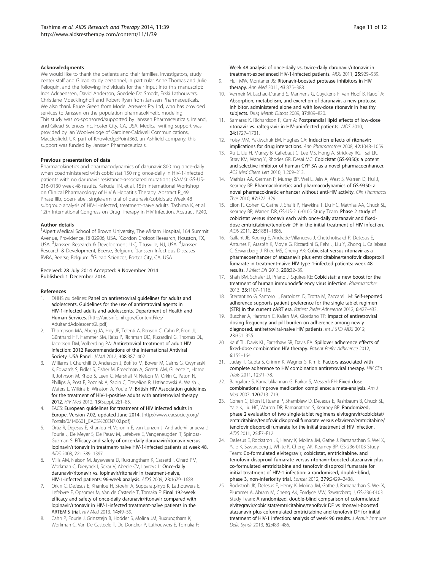#### <span id="page-10-0"></span>Acknowledgments

We would like to thank the patients and their families, investigators, study center staff and Gilead study personnel, in particular Anne Thomas and Julie Peloquin, and the following individuals for their input into this manuscript: Ines Adriaenssen, David Anderson, Goedele De Smedt, Erkki Lathouwers, Christiane Moecklinghoff and Robert Ryan from Janssen Pharmaceuticals. We also thank Bruce Green from Model Answers Pty Ltd, who has provided services to Janssen on the population pharmacokinetic modeling. This study was co-sponsored/supported by Janssen Pharmaceuticals, Ireland, and Gilead Sciences Inc, Foster City, CA, USA. Medical writing support was provided by Ian Woolveridge of Gardiner-Caldwell Communications, Macclesfield, UK, part of KnowledgePoint360, an Ashfield company; this support was funded by Janssen Pharmaceuticals.

#### Previous presentation of data

Pharmacokinetics and pharmacodynamics of darunavir 800 mg once-daily when coadministered with cobicistat 150 mg once-daily in HIV-1-infected patients with no darunavir resistance-associated mutations (RAMs): GS-US-216-0130 week 48 results. Kakuda TN, et al. 15th International Workshop on Clinical Pharmacology of HIV & Hepatitis Therapy. Abstract P\_49. Phase IIIb, open-label, single-arm trial of darunavir/cobicistat: Week 48 subgroup analysis of HIV-1-infected, treatment-naïve adults. Tashima K, et al. 12th International Congress on Drug Therapy in HIV Infection. Abstract P240.

#### Author details

<sup>1</sup> Alpert Medical School of Brown University, The Miriam Hospital, 164 Summit Avenue, Providence, RI 02906, USA. <sup>2</sup>Gordon Crofoot Research, Houston, TX, USA. <sup>3</sup>Janssen Research & Development LLC, Titusville, NJ, USA. <sup>4</sup>Janssen Research & Development, Beerse, Belgium. <sup>5</sup>Janssen Infectious Diseases BVBA, Beerse, Belgium. <sup>6</sup>Gilead Sciences, Foster City, CA, USA.

#### Received: 28 July 2014 Accepted: 9 November 2014 Published: 1 December 2014

#### References

- 1. DHHS guidelines: Panel on antiretroviral guidelines for adults and adolescents. Guidelines for the use of antiretroviral agents in HIV-1-infected adults and adolescents. Department of Health and Human Services. [[http://aidsinfo.nih.gov/ContentFiles/](http://aidsinfo.nih.gov/ContentFiles/AdultandAdolescentGL.pdf) [AdultandAdolescentGL.pdf\]](http://aidsinfo.nih.gov/ContentFiles/AdultandAdolescentGL.pdf)
- 2. Thompson MA, Aberg JA, Hoy JF, Telenti A, Benson C, Cahn P, Eron JJ, Günthard HF, Hammer SM, Reiss P, Richman DD, Rizzardini G, Thomas DL, Jacobsen DM, Volberding PA: Antiretroviral treatment of adult HIV infection: 2012 Recommendations of the International Antiviral Society–USA Panel. JAMA 2012, 308:387–402.
- 3. Williams I, Churchill D, Anderson J, Boffito M, Bower M, Cairns G, Cwynarski K, Edwards S, Fidler S, Fisher M, Freedman A, Geretti AM, Gilleece Y, Horne R, Johnson M, Khoo S, Leen C, Marshall N, Nelson M, Orkin C, Paton N, Phillips A, Post F, Pozniak A, Sabin C, Trevelion R, Ustianowski A, Walsh J, Waters L, Wilkins E, Winston A, Youle M: British HIV Association guidelines for the treatment of HIV-1-positive adults with antiretroviral therapy 2012. HIV Med 2012, 13(Suppl. 2):1–85.
- 4. EACS: European guidelines for treatment of HIV infected adults in Europe. Version 7.02, updated June 2014. [[http://www.eacsociety.org/](http://www.eacsociety.org/Portals/0/140601_EACS%20EN7.02.pdf) [Portals/0/140601\\_EACS%20EN7.02.pdf\]](http://www.eacsociety.org/Portals/0/140601_EACS%20EN7.02.pdf)
- 5. Ortiz R, Dejesus E, Khanlou H, Voronin E, van Lunzen J, Andrade-Villanueva J, Fourie J, De Meyer S, De Pauw M, Lefebvre E, Vangeneugden T, Spinosa-Guzman S: Efficacy and safety of once-daily darunavir/ritonavir versus lopinavir/ritonavir in treatment-naive HIV-1-infected patients at week 48. AIDS 2008, 22:1389–1397.
- 6. Mills AM, Nelson M, Jayaweera D, Ruxrungtham K, Cassetti I, Girard PM, Workman C, Dierynck I, Sekar V, Abeele CV, Lavreys L: Once-daily darunavir/ritonavir vs. lopinavir/ritonavir in treatment-naive, HIV-1-infected patients: 96-week analysis. AIDS 2009, 23:1679–1688.
- 7. Orkin C, DeJesus E, Khanlou H, Stoehr A, Supparatpinyo K, Lathouwers E, Lefebvre E, Opsomer M, Van de Casteele T, Tomaka F: Final 192-week efficacy and safety of once-daily darunavir/ritonavir compared with lopinavir/ritonavir in HIV-1-infected treatment-naïve patients in the ARTEMIS trial. HIV Med 2013, 14:49–59.
- 8. Cahn P, Fourie J, Grinsztejn B, Hodder S, Molina JM, Ruxrungtham K, Workman C, Van De Casteele T, De Doncker P, Lathouwers E, Tomaka F:

Week 48 analysis of once-daily vs. twice-daily darunavir/ritonavir in treatment-experienced HIV-1-infected patients. AIDS 2011, 25:929–939. 9. Hull MW, Montaner JS: Ritonavir-boosted protease inhibitors in HIV

- therapy. Ann Med 2011, 43:375–388.
- 10. Vermeir M, Lachau-Durand S, Mannens G, Cuyckens F, van Hoof B, Raoof A: Absorption, metabolism, and excretion of darunavir, a new protease inhibitor, administered alone and with low-dose ritonavir in healthy subjects. Drug Metab Dispos 2009, 37:809–820.
- 11. Samaras K, Richardson R, Carr A: Postprandial lipid effects of low-dose ritonavir vs. raltegravir in HIV-uninfected patients. AIDS 2010, 24:1727–1731.
- 12. Foisy MM, Yakiwchuk EM, Hughes CA: Induction effects of ritonavir: implications for drug interactions. Ann Pharmacother 2008, 42:1048–1059.
- 13. Xu L, Liu H, Murray B, Callebaut C, Lee MS, Hong A, Strickley RG, Tsai LK, Stray KM, Wang Y, Rhodes GR, Desai MC: Cobicistat (GS-9350): a potent and selective inhibitor of human CYP 3A as a novel pharmacoenhancer. ACS Med Chem Lett 2010, 1:209–213.
- 14. Mathias AA, German P, Murray BP, Wei L, Jain A, West S, Warren D, Hui J, Kearney BP: Pharmacokinetics and pharmacodynamics of GS-9350: a novel pharmacokinetic enhancer without anti-HIV activity. Clin Pharmacol Ther 2010 87:322-329.
- 15. Elion R, Cohen C, Gathe J, Shalit P, Hawkins T, Liu HC, Mathias AA, Chuck SL, Kearney BP, Warren DR, GS-US-216-0105 Study Team: Phase 2 study of cobicistat versus ritonavir each with once-daily atazanavir and fixeddose emtricitabine/tenofovir DF in the initial treatment of HIV infection. AIDS 2011, 25:1881–1886.
- 16. Gallant JE, Koenig E, Andrade-Villanueva J, Chetchotisakd P, DeJesus E, Antunes F, Arastéh K, Moyle G, Rizzardini G, Fehr J, Liu Y, Zhong L, Callebaut C, Szwarcberg J, Rhee MS, Cheng AK: Cobicistat versus ritonavir as a pharmacoenhancer of atazanavir plus emtricitabine/tenofovir disoproxil fumarate in treatment-naive HIV type 1-infected patients: week 48 results. J Infect Dis 2013, 208:32–39.
- 17. Shah BM, Schafer JJ, Priano J, Squires KE: Cobicistat: a new boost for the treatment of human immunodeficiency virus infection. Pharmacother 2013, 33:1107–1116.
- 18. Sterrantino G, Santoro L, Bartolozzi D, Trotta M, Zaccarelli M: Self-reported adherence supports patient preference for the single tablet regimen (STR) in the current cART era. Patient Prefer Adherence 2012, 6:427-433.
- 19. Buscher A, Hartman C, Kallen MA, Giordano TP: Impact of antiretroviral dosing frequency and pill burden on adherence among newly diagnosed, antiretroviral-naive HIV patients. Int J STD AIDS 2012, 23:351–355.
- 20. Kauf TL, Davis KL, Earnshaw SR, Davis EA: Spillover adherence effects of fixed-dose combination HIV therapy. Patient Prefer Adherence 2012, 6:155–164.
- 21. Juday T, Gupta S, Grimm K, Wagner S, Kim E: Factors associated with complete adherence to HIV combination antiretroviral therapy. HIV Clin Trials 2011, 12:71–78.
- 22. Bangalore S, Kamalakkannan G, Parkar S, Messerli FH: Fixed dose combinations improve medication compliance: a meta-analysis. Am J Med 2007, 120:713–719.
- 23. Cohen C, Elion R, Ruane P, Shamblaw D, DeJesus E, Rashbaum B, Chuck SL, Yale K, Liu HC, Warren DR, Ramanathan S, Kearney BP: Randomized, phase 2 evaluation of two single-tablet regimens elvitegravir/cobicistat/ emtricitabine/tenofovir disoproxil fumarate versus efavirenz/emtricitabine/ tenofovir disoproxil fumarate for the initial treatment of HIV infection. AIDS 2011, 25:F7–F12.
- 24. DeJesus E, Rockstroh JK, Henry K, Molina JM, Gathe J, Ramanathan S, Wei X, Yale K, Szwarcberg J, White K, Cheng AK, Kearney BP, GS-236-0103 Study Team: Co-formulated elvitegravir, cobicistat, emtricitabine, and tenofovir disoproxil fumarate versus ritonavir-boosted atazanavir plus co-formulated emtricitabine and tenofovir disoproxil fumarate for initial treatment of HIV-1 infection: a randomised, double-blind, phase 3, non-inferiority trial. Lancet 2012, 379:2429–2438.
- 25. Rockstroh JK, DeJesus E, Henry K, Molina JM, Gathe J, Ramanathan S, Wei X, Plummer A, Abram M, Cheng AK, Fordyce MW, Szwarcberg J, GS-236-0103 Study Team: A randomized, double-blind comparison of coformulated elvitegravir/cobicistat/emtricitabine/tenofovir DF vs ritonavir-boosted atazanavir plus coformulated emtricitabine and tenofovir DF for initial treatment of HIV-1 infection: analysis of week 96 results. J Acquir Immune Defic Syndr 2013, 62:483–486.